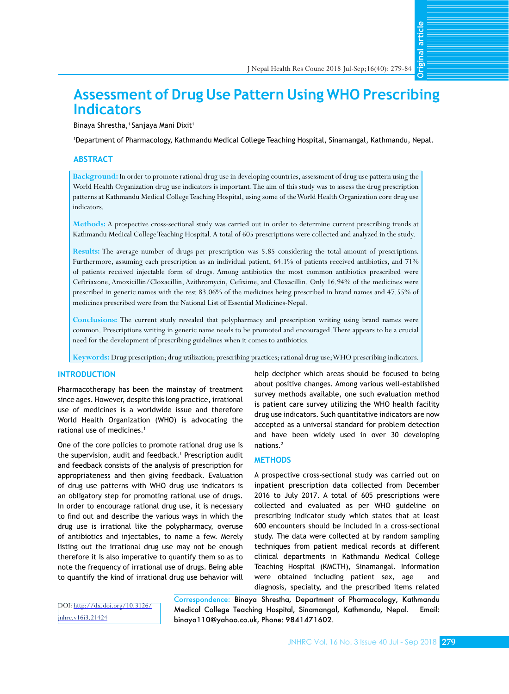**Original article** iginal article

# **Assessment of Drug Use Pattern Using WHO Prescribing Indicators**

Binaya Shrestha,<sup>1</sup> Sanjaya Mani Dixit<sup>1</sup>

1 Department of Pharmacology, Kathmandu Medical College Teaching Hospital, Sinamangal, Kathmandu, Nepal.

## **ABSTRACT**

**Background:** In order to promote rational drug use in developing countries, assessment of drug use pattern using the World Health Organization drug use indicators is important. The aim of this study was to assess the drug prescription patterns at Kathmandu Medical College Teaching Hospital, using some of the World Health Organization core drug use indicators.

**Methods:** A prospective cross-sectional study was carried out in order to determine current prescribing trends at Kathmandu Medical College Teaching Hospital. A total of 605 prescriptions were collected and analyzed in the study.

**Results:** The average number of drugs per prescription was 5.85 considering the total amount of prescriptions. Furthermore, assuming each prescription as an individual patient, 64.1% of patients received antibiotics, and 71% of patients received injectable form of drugs. Among antibiotics the most common antibiotics prescribed were Ceftriaxone, Amoxicillin/Cloxacillin, Azithromycin, Cefixime, and Cloxacillin. Only 16.94% of the medicines were prescribed in generic names with the rest 83.06% of the medicines being prescribed in brand names and 47.55% of medicines prescribed were from the National List of Essential Medicines-Nepal.

**Conclusions:** The current study revealed that polypharmacy and prescription writing using brand names were common. Prescriptions writing in generic name needs to be promoted and encouraged. There appears to be a crucial need for the development of prescribing guidelines when it comes to antibiotics.

**Keywords:** Drug prescription; drug utilization; prescribing practices; rational drug use; WHO prescribing indicators.

# **INTRODUCTION**

Pharmacotherapy has been the mainstay of treatment since ages. However, despite this long practice, irrational use of medicines is a worldwide issue and therefore World Health Organization (WHO) is advocating the rational use of medicines.<sup>1</sup>

One of the core policies to promote rational drug use is the supervision, audit and feedback.<sup>1</sup> Prescription audit and feedback consists of the analysis of prescription for appropriateness and then giving feedback. Evaluation of drug use patterns with WHO drug use indicators is an obligatory step for promoting rational use of drugs. In order to encourage rational drug use, it is necessary to find out and describe the various ways in which the drug use is irrational like the polypharmacy, overuse of antibiotics and injectables, to name a few. Merely listing out the irrational drug use may not be enough therefore it is also imperative to quantify them so as to note the frequency of irrational use of drugs. Being able to quantify the kind of irrational drug use behavior will

help decipher which areas should be focused to being about positive changes. Among various well-established survey methods available, one such evaluation method is patient care survey utilizing the WHO health facility drug use indicators. Such quantitative indicators are now accepted as a universal standard for problem detection and have been widely used in over 30 developing nations.<sup>2</sup>

# **METHODS**

A prospective cross-sectional study was carried out on inpatient prescription data collected from December 2016 to July 2017. A total of 605 prescriptions were collected and evaluated as per WHO guideline on prescribing indicator study which states that at least 600 encounters should be included in a cross-sectional study. The data were collected at by random sampling techniques from patient medical records at different clinical departments in Kathmandu Medical College Teaching Hospital (KMCTH), Sinamangal. Information were obtained including patient sex, age and diagnosis, specialty, and the prescribed items related

DOI: [http://dx.doi.org/10.3126/](http://dx.doi.org/10.3126/jnhrc.v16i3.21424) [jnhrc.v16i3.21424](http://dx.doi.org/10.3126/jnhrc.v16i3.21424)

Correspondence: Binaya Shrestha, Department of Pharmacology, Kathmandu Medical College Teaching Hospital, Sinamangal, Kathmandu, Nepal. Email: [binaya110@yahoo.co.uk](mailto:binaya110@yahoo.co.uk), Phone: 9841471602.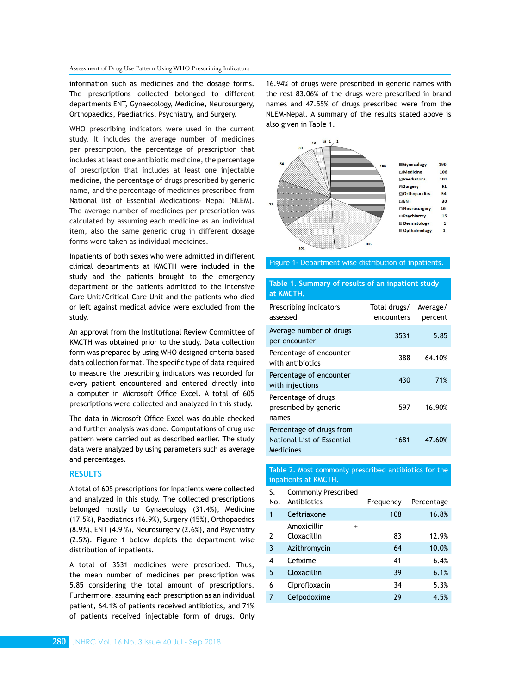#### Assessment of Drug Use Pattern Using WHO Prescribing Indicators

information such as medicines and the dosage forms. The prescriptions collected belonged to different departments ENT, Gynaecology, Medicine, Neurosurgery, Orthopaedics, Paediatrics, Psychiatry, and Surgery.

WHO prescribing indicators were used in the current study. It includes the average number of medicines per prescription, the percentage of prescription that includes at least one antibiotic medicine, the percentage of prescription that includes at least one injectable medicine, the percentage of drugs prescribed by generic name, and the percentage of medicines prescribed from National list of Essential Medications- Nepal (NLEM). The average number of medicines per prescription was calculated by assuming each medicine as an individual item, also the same generic drug in different dosage forms were taken as individual medicines.

Inpatients of both sexes who were admitted in different clinical departments at KMCTH were included in the study and the patients brought to the emergency department or the patients admitted to the Intensive Care Unit/Critical Care Unit and the patients who died or left against medical advice were excluded from the study.

An approval from the Institutional Review Committee of KMCTH was obtained prior to the study. Data collection form was prepared by using WHO designed criteria based data collection format. The specific type of data required to measure the prescribing indicators was recorded for every patient encountered and entered directly into a computer in Microsoft Office Excel. A total of 605 prescriptions were collected and analyzed in this study.

The data in Microsoft Office Excel was double checked and further analysis was done. Computations of drug use pattern were carried out as described earlier. The study data were analyzed by using parameters such as average and percentages.

### **RESULTS**

A total of 605 prescriptions for inpatients were collected and analyzed in this study. The collected prescriptions belonged mostly to Gynaecology (31.4%), Medicine (17.5%), Paediatrics (16.9%), Surgery (15%), Orthopaedics (8.9%), ENT (4.9 %), Neurosurgery (2.6%), and Psychiatry (2.5%). Figure 1 below depicts the department wise distribution of inpatients.

A total of 3531 medicines were prescribed. Thus, the mean number of medicines per prescription was 5.85 considering the total amount of prescriptions. Furthermore, assuming each prescription as an individual patient, 64.1% of patients received antibiotics, and 71% of patients received injectable form of drugs. Only

16.94% of drugs were prescribed in generic names with the rest 83.06% of the drugs were prescribed in brand names and 47.55% of drugs prescribed were from the NLEM-Nepal. A summary of the results stated above is also given in Table 1.



Figure 1- Department wise distribution of inpatients.

| Table 1. Summary of results of an inpatient study<br>at KMCTH.             |                            |                     |  |
|----------------------------------------------------------------------------|----------------------------|---------------------|--|
| Prescribing indicators<br>assessed                                         | Total drugs/<br>encounters | Average/<br>percent |  |
| Average number of drugs<br>per encounter                                   | 3531                       | 5.85                |  |
| Percentage of encounter<br>with antibiotics                                | 388                        | 64.10%              |  |
| Percentage of encounter<br>with injections                                 | 430                        | 71%                 |  |
| Percentage of drugs<br>prescribed by generic<br>names                      | 597                        | 16.90%              |  |
| Percentage of drugs from<br>National List of Essential<br><b>Medicines</b> | 1681                       | 47.60%              |  |

Table 2. Most commonly prescribed antibiotics for the inpatients at KMCTH.

| .د | Commonly Prescribed |
|----|---------------------|
|----|---------------------|

| No. | Antibiotics                |           | Frequency | Percentage |
|-----|----------------------------|-----------|-----------|------------|
| 1   | Ceftriaxone                |           | 108       | 16.8%      |
| 2   | Amoxicillin<br>Cloxacillin | $\ddot{}$ | 83        | 12.9%      |
| 3   | Azithromycin               |           | 64        | 10.0%      |
| 4   | Cefixime                   |           | 41        | 6.4%       |
| 5   | Cloxacillin                |           | 39        | 6.1%       |
| 6   | Ciprofloxacin              |           | 34        | 5.3%       |
| 7   | Cefpodoxime                |           | 29        | 4.5%       |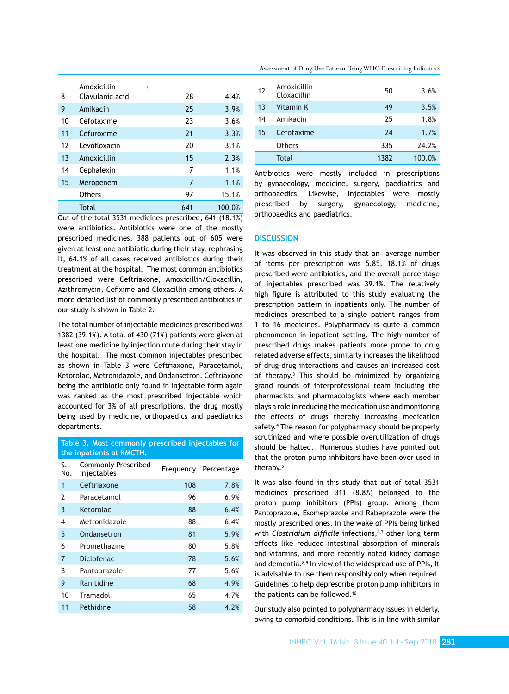|    | Amoxicillin     | $\ddot{}$ |     |        |
|----|-----------------|-----------|-----|--------|
| 8  | Clavulanic acid |           | 28  | 4.4%   |
| 9  | Amikacin        |           | 25  | 3.9%   |
| 10 | Cefotaxime      |           | 23  | 3.6%   |
| 11 | Cefuroxime      |           | 21  | 3.3%   |
| 12 | Levofloxacin    |           | 20  | 3.1%   |
| 13 | Amoxicillin     |           | 15  | 2.3%   |
| 14 | Cephalexin      |           | 7   | 1.1%   |
| 15 | Meropenem       |           | 7   | 1.1%   |
|    | <b>Others</b>   |           | 97  | 15.1%  |
|    | Total           |           | 641 | 100.0% |

Out of the total 3531 medicines prescribed, 641 (18.1%) were antibiotics. Antibiotics were one of the mostly prescribed medicines, 388 patients out of 605 were given at least one antibiotic during their stay, rephrasing it, 64.1% of all cases received antibiotics during their treatment at the hospital. The most common antibiotics prescribed were Ceftriaxone, Amoxicillin/Cloxacillin, Azithromycin, Cefixime and Cloxacillin among others. A more detailed list of commonly prescribed antibiotics in our study is shown in Table 2.

The total number of injectable medicines prescribed was 1382 (39.1%). A total of 430 (71%) patients were given at least one medicine by injection route during their stay in the hospital. The most common injectables prescribed as shown in Table 3 were Ceftriaxone, Paracetamol, Ketorolac, Metronidazole, and Ondansetron. Ceftriaxone being the antibiotic only found in injectable form again was ranked as the most prescribed injectable which accounted for 3% of all prescriptions, the drug mostly being used by medicine, orthopaedics and paediatrics departments.

# **Table 3. Most commonly prescribed injectables for the inpatients at KMCTH.**

| S.<br>No. | <b>Commonly Prescribed</b><br>injectables | Frequency | Percentage |
|-----------|-------------------------------------------|-----------|------------|
| 1         | Ceftriaxone                               | 108       | 7.8%       |
| 2         | Paracetamol                               | 96        | 6.9%       |
| 3         | Ketorolac                                 | 88        | 6.4%       |
| 4         | Metronidazole                             | 88        | 6.4%       |
| 5         | Ondansetron                               | 81        | 5.9%       |
| 6         | Promethazine                              | 80        | 5.8%       |
| 7         | <b>Diclofenac</b>                         | 78        | 5.6%       |
| 8         | Pantoprazole                              | 77        | 5.6%       |
| 9         | Ranitidine                                | 68        | 4.9%       |
| 10        | Tramadol                                  | 65        | 4.7%       |
| 11        | Pethidine                                 | 58        | 4.2%       |

| Assessment of Drug Use Pattern Using WHO Prescribing Indicators |  |  |  |  |
|-----------------------------------------------------------------|--|--|--|--|
|-----------------------------------------------------------------|--|--|--|--|

| 12 | Amoxicillin +<br>Cloxacillin | 50   | 3.6%   |
|----|------------------------------|------|--------|
| 13 | Vitamin K                    | 49   | 3.5%   |
| 14 | Amikacin                     | 25   | 1.8%   |
| 15 | Cefotaxime                   | 24   | 1.7%   |
|    | <b>Others</b>                | 335  | 24.2%  |
|    | Total                        | 1382 | 100.0% |

Antibiotics were mostly included in prescriptions by gynaecology, medicine, surgery, paediatrics and orthopaedics. Likewise, injectables were mostly prescribed by surgery, gynaecology, medicine, orthopaedics and paediatrics.

# **DISCUSSION**

It was observed in this study that an average number of items per prescription was 5.85, 18.1% of drugs prescribed were antibiotics, and the overall percentage of injectables prescribed was 39.1%. The relatively high figure is attributed to this study evaluating the prescription pattern in inpatients only. The number of medicines prescribed to a single patient ranges from 1 to 16 medicines. Polypharmacy is quite a common phenomenon in inpatient setting. The high number of prescribed drugs makes patients more prone to drug related adverse effects, similarly increases the likelihood of drug-drug interactions and causes an increased cost of therapy.3 This should be minimized by organizing grand rounds of interprofessional team including the pharmacists and pharmacologists where each member plays a role in reducing the medication use and monitoring the effects of drugs thereby increasing medication safety.4 The reason for polypharmacy should be properly scrutinized and where possible overutilization of drugs should be halted. Numerous studies have pointed out that the proton pump inhibitors have been over used in therapy.<sup>5</sup>

It was also found in this study that out of total 3531 medicines prescribed 311 (8.8%) belonged to the proton pump inhibitors (PPIs) group. Among them Pantoprazole, Esomeprazole and Rabeprazole were the mostly prescribed ones. In the wake of PPIs being linked with *Clostridium difficile* infections,<sup>6,7</sup> other long term effects like reduced intestinal absorption of minerals and vitamins, and more recently noted kidney damage and dementia.<sup>8,9</sup> In view of the widespread use of PPIs, It is advisable to use them responsibly only when required. Guidelines to help deprescribe proton pump inhibitors in the patients can be followed.10

Our study also pointed to polypharmacy issues in elderly, owing to comorbid conditions. This is in line with similar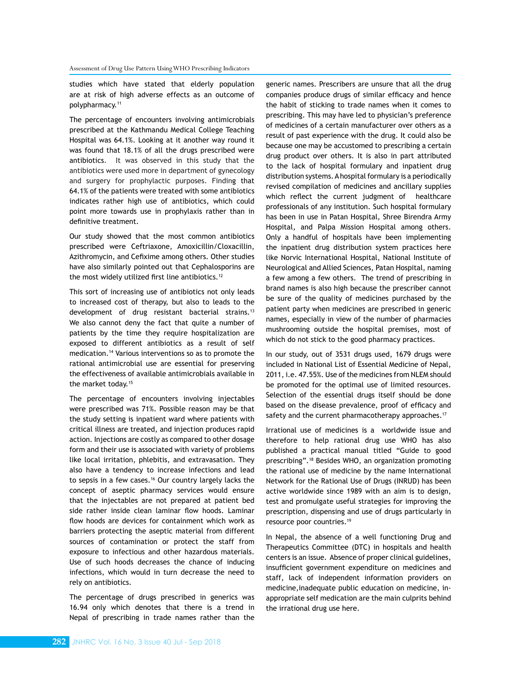studies which have stated that elderly population are at risk of high adverse effects as an outcome of polypharmacy.<sup>11</sup>

The percentage of encounters involving antimicrobials prescribed at the Kathmandu Medical College Teaching Hospital was 64.1%. Looking at it another way round it was found that 18.1% of all the drugs prescribed were antibiotics. It was observed in this study that the antibiotics were used more in department of gynecology and surgery for prophylactic purposes. Finding that 64.1% of the patients were treated with some antibiotics indicates rather high use of antibiotics, which could point more towards use in prophylaxis rather than in definitive treatment.

Our study showed that the most common antibiotics prescribed were Ceftriaxone, Amoxicillin/Cloxacillin, Azithromycin, and Cefixime among others. Other studies have also similarly pointed out that Cephalosporins are the most widely utilized first line antibiotics.<sup>12</sup>

This sort of increasing use of antibiotics not only leads to increased cost of therapy, but also to leads to the development of drug resistant bacterial strains.13 We also cannot deny the fact that quite a number of patients by the time they require hospitalization are exposed to different antibiotics as a result of self medication.14 Various interventions so as to promote the rational antimicrobial use are essential for preserving the effectiveness of available antimicrobials available in the market today.<sup>15</sup>

The percentage of encounters involving injectables were prescribed was 71%. Possible reason may be that the study setting is inpatient ward where patients with critical illness are treated, and injection produces rapid action. Injections are costly as compared to other dosage form and their use is associated with variety of problems like local irritation, phlebitis, and extravasation. They also have a tendency to increase infections and lead to sepsis in a few cases.<sup>16</sup> Our country largely lacks the concept of aseptic pharmacy services would ensure that the injectables are not prepared at patient bed side rather inside clean laminar flow hoods. Laminar flow hoods are devices for containment which work as barriers protecting the aseptic material from different sources of contamination or protect the staff from exposure to infectious and other hazardous materials. Use of such hoods decreases the chance of inducing infections, which would in turn decrease the need to rely on antibiotics.

The percentage of drugs prescribed in generics was 16.94 only which denotes that there is a trend in Nepal of prescribing in trade names rather than the

generic names. Prescribers are unsure that all the drug companies produce drugs of similar efficacy and hence the habit of sticking to trade names when it comes to prescribing. This may have led to physician's preference of medicines of a certain manufacturer over others as a result of past experience with the drug. It could also be because one may be accustomed to prescribing a certain drug product over others. It is also in part attributed to the lack of hospital formulary and inpatient drug distribution systems. A hospital formulary is a periodically revised compilation of medicines and ancillary supplies which reflect the current judgment of healthcare professionals of any institution. Such hospital formulary has been in use in Patan Hospital, Shree Birendra Army Hospital, and Palpa Mission Hospital among others. Only a handful of hospitals have been implementing the inpatient drug distribution system practices here like Norvic International Hospital, National Institute of Neurological and Allied Sciences, Patan Hospital, naming a few among a few others. The trend of prescribing in brand names is also high because the prescriber cannot be sure of the quality of medicines purchased by the patient party when medicines are prescribed in generic names, especially in view of the number of pharmacies mushrooming outside the hospital premises, most of which do not stick to the good pharmacy practices.

In our study, out of 3531 drugs used, 1679 drugs were included in National List of Essential Medicine of Nepal, 2011, i.e. 47.55%. Use of the medicines from NLEM should be promoted for the optimal use of limited resources. Selection of the essential drugs itself should be done based on the disease prevalence, proof of efficacy and safety and the current pharmacotherapy approaches.<sup>17</sup>

Irrational use of medicines is a worldwide issue and therefore to help rational drug use WHO has also published a practical manual titled "Guide to good prescribing".18 Besides WHO, an organization promoting the rational use of medicine by the name International Network for the Rational Use of Drugs (INRUD) has been active worldwide since 1989 with an aim is to design, test and promulgate useful strategies for improving the prescription, dispensing and use of drugs particularly in resource poor countries.19

In Nepal, the absence of a well functioning Drug and Therapeutics Committee (DTC) in hospitals and health centers is an issue. Absence of proper clinical guidelines, insufficient government expenditure on medicines and staff, lack of independent information providers on medicine,inadequate public education on medicine, inappropriate self medication are the main culprits behind the irrational drug use here.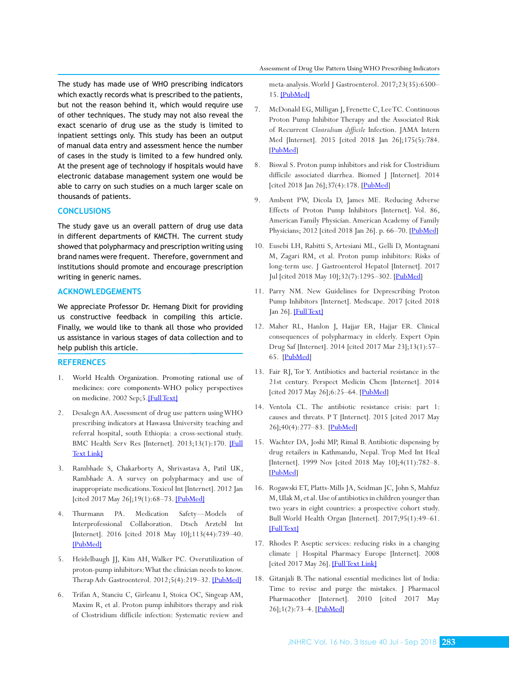The study has made use of WHO prescribing indicators which exactly records what is prescribed to the patients, but not the reason behind it, which would require use of other techniques. The study may not also reveal the exact scenario of drug use as the study is limited to inpatient settings only. This study has been an output of manual data entry and assessment hence the number of cases in the study is limited to a few hundred only. At the present age of technology if hospitals would have electronic database management system one would be able to carry on such studies on a much larger scale on thousands of patients.

# **CONCLUSIONS**

The study gave us an overall pattern of drug use data in different departments of KMCTH. The current study showed that polypharmacy and prescription writing using brand names were frequent. Therefore, government and institutions should promote and encourage prescription writing in generic names.

# **ACKNOWLEDGEMENTS**

We appreciate Professor Dr. Hemang Dixit for providing us constructive feedback in compiling this article. Finally, we would like to thank all those who provided us assistance in various stages of data collection and to help publish this article.

# **REFERENCES**

- 1. World Health Organization. Promoting rational use of medicines: core components-WHO policy perspectives on medicine. 2002 Sep;5.[\[Full Text\]](http://apps.who.int/medicinedocs/pdf/h3011e/h3011e.pdf)
- 2. Desalegn AA. Assessment of drug use pattern using WHO prescribing indicators at Hawassa University teaching and referral hospital, south Ethiopia: a cross-sectional study. BMC Health Serv Res [Internet]. 2013;13(1):170. [\[Full](http://bmchealthservres.biomedcentral.com/articles/10.1186/1472-6963-13-170)  [Text Link\]](http://bmchealthservres.biomedcentral.com/articles/10.1186/1472-6963-13-170)
- 3. Rambhade S, Chakarborty A, Shrivastava A, Patil UK, Rambhade A. A survey on polypharmacy and use of inappropriate medications. Toxicol Int [Internet]. 2012 Jan [cited 2017 May 26];19(1):68-73. [\[PubMed\]](http://www.ncbi.nlm.nih.gov/pubmed/22736907)
- 4. Thurmann PA. Medication Safety—Models of Interprofessional Collaboration. Dtsch Arztebl Int [Internet]. 2016 [cited 2018 May 10];113(44):739–40. [\[PubMed\]](http://www.ncbi.nlm.nih.gov/pubmed/27890049)
- 5. Heidelbaugh JJ, Kim AH, Walker PC. Overutilization of proton-pump inhibitors: What the clinician needs to know. Therap Adv Gastroenterol. 2012;5(4):219-32. [\[PubMed\]](https://www.ncbi.nlm.nih.gov/pubmed/22778788)
- 6. Trifan A, Stanciu C, Girleanu I, Stoica OC, Singeap AM, Maxim R, et al. Proton pump inhibitors therapy and risk of Clostridium difficile infection: Systematic review and

meta-analysis. World J Gastroenterol. 2017;23(35):6500– 15. [\[PubMed\]](https://www.ncbi.nlm.nih.gov/pubmed/29085200)

- 7. McDonald EG, Milligan J, Frenette C, Lee TC. Continuous Proton Pump Inhibitor Therapy and the Associated Risk of Recurrent *Clostridium difficile* Infection. JAMA Intern Med [Internet]. 2015 [cited 2018 Jan 26];175(5):784. [\[PubMed\]](https://www.ncbi.nlm.nih.gov/pubmed/25730198)
- 8. Biswal S. Proton pump inhibitors and risk for Clostridium difficile associated diarrhea. Biomed J [Internet]. 2014 [cited 2018 Jan 26]; 37(4): 178. [\[PubMed\]](http://www.ncbi.nlm.nih.gov/pubmed/25116712)
- 9. Ambent PW, Dicola D, James ME. Reducing Adverse Effects of Proton Pump Inhibitors [Internet]. Vol. 86, American Family Physician. American Academy of Family Physicians; 2012 [cited 2018 Jan 26]. p. 66-70. [\[PubMed\]](https://www.ncbi.nlm.nih.gov/pubmed/22962914)
- 10. Eusebi LH, Rabitti S, Artesiani ML, Gelli D, Montagnani M, Zagari RM, et al. Proton pump inhibitors: Risks of long-term use. J Gastroenterol Hepatol [Internet]. 2017 Jul [cited 2018 May 10];32(7):1295-302. [[PubMed](http://www.ncbi.nlm.nih.gov/pubmed/28092694)]
- 11. Parry NM. New Guidelines for Deprescribing Proton Pump Inhibitors [Internet]. Medscape. 2017 [cited 2018 Jan 26]. [\[Full Text\]](https://www.medscape.com/viewarticle/880181)
- 12. Maher RL, Hanlon J, Hajjar ER, Hajjar ER. Clinical consequences of polypharmacy in elderly. Expert Opin Drug Saf [Internet]. 2014 [cited 2017 Mar 23];13(1):57– 65. [[PubMed\]](http://www.ncbi.nlm.nih.gov/pubmed/24073682)
- 13. Fair RJ, Tor Y. Antibiotics and bacterial resistance in the 21st century. Perspect Medicin Chem [Internet]. 2014 [cited 2017 May 26];6:25-64. [\[PubMed\]](http://www.ncbi.nlm.nih.gov/pubmed/25232278)
- 14. Ventola CL. The antibiotic resistance crisis: part 1: causes and threats. P T [Internet]. 2015 [cited 2017 May 26];40(4):277-83. [[PubMed](http://www.ncbi.nlm.nih.gov/pubmed/25859123)]
- 15. Wachter DA, Joshi MP, Rimal B. Antibiotic dispensing by drug retailers in Kathmandu, Nepal. Trop Med Int Heal [Internet]. 1999 Nov [cited 2018 May 10];4(11):782-8. [\[PubMed\]](https://www.ncbi.nlm.nih.gov/pubmed/10588773)
- 16. Rogawski ET, Platts-Mills JA, Seidman JC, John S, Mahfuz M, Ulak M, et al. Use of antibiotics in children younger than two years in eight countries: a prospective cohort study. Bull World Health Organ [Internet]. 2017;95(1):49–61. [\[Full Text\]](http://www.who.int/entity/bulletin/volumes/95/1/16-176123.pdf)
- 17. Rhodes P. Aseptic services: reducing risks in a changing climate | Hospital Pharmacy Europe [Internet]. 2008 [cited 2017 May 26]. [\[Full Text Link\]](http://www.hospitalpharmacyeurope.com/industry-news/aseptic-services-reducing-risks-changing-climate)
- 18. Gitanjali B. The national essential medicines list of India: Time to revise and purge the mistakes. J Pharmacol Pharmacother [Internet]. 2010 [cited 2017 May 26];1(2):73–4. [[PubMed](http://www.ncbi.nlm.nih.gov/pubmed/21350612)]